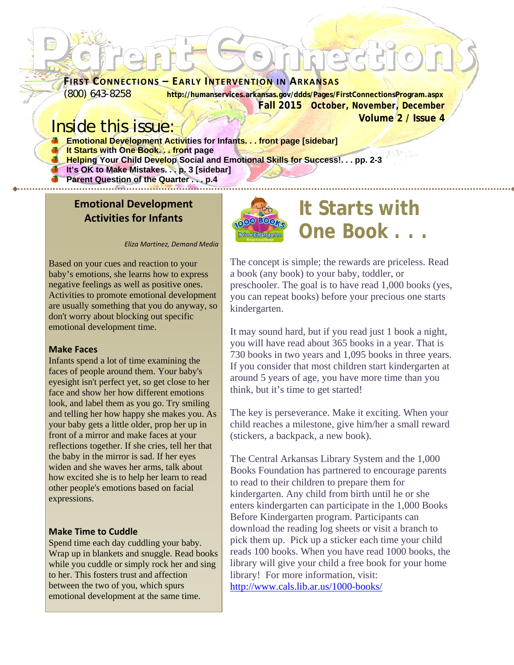# **Parent Connections FIRST CONNECTIONS – EARLY INTERVENTION IN ARKANSAS**

(800) 643-8258 **http://humanservices.arkansas.gov/ddds/Pages/FirstConnectionsProgram.aspx Fall 2015** *October, November, December*  **Volume 2 / Issue 4** 

### Inside this issue:

- **Emotional Development Activities for Infants... front page [sidebar]**
- **It Starts with One Book. . . front page**
- **Helping Your Child Develop Social and Emotional Skills for Success!. . . pp. 2-3**
- **If it's OK to Make Mistakes...p. 3 [sidebar]** 
	- **Parent Question of the Quarter . . . p.4**

#### **Emotional Development Activities for Infants**



# **It Starts with One Book . . .**

*Eliza Martinez, Demand Media*

Based on your cues and reaction to your baby's emotions, she learns how to express negative feelings as well as positive ones. Activities to promote emotional development are usually something that you do anyway, so don't worry about blocking out specific emotional development time.

#### **Make Faces**

Infants spend a lot of time examining the faces of people around them. Your baby's eyesight isn't perfect yet, so get close to her face and show her how different emotions look, and label them as you go. Try smiling and telling her how happy she makes you. As your baby gets a little older, prop her up in front of a mirror and make faces at your reflections together. If she cries, tell her that the baby in the mirror is sad. If her eyes widen and she waves her arms, talk about how excited she is to help her learn to read other people's emotions based on facial expressions.

#### **Make Time to Cuddle**

Spend time each day cuddling your baby. Wrap up in blankets and snuggle. Read books while you cuddle or simply rock her and sing to her. This fosters trust and affection between the two of you, which spurs emotional development at the same time.

The concept is simple; the rewards are priceless. Read a book (any book) to your baby, toddler, or preschooler. The goal is to have read 1,000 books (yes, you can repeat books) before your precious one starts kindergarten.

It may sound hard, but if you read just 1 book a night, you will have read about 365 books in a year. That is 730 books in two years and 1,095 books in three years. If you consider that most children start kindergarten at around 5 years of age, you have more time than you think, but it's time to get started!

The key is perseverance. Make it exciting. When your child reaches a milestone, give him/her a small reward (stickers, a backpack, a new book).

The Central Arkansas Library System and the 1,000 Books Foundation has partnered to encourage parents to read to their children to prepare them for kindergarten. Any child from birth until he or she enters kindergarten can participate in the 1,000 Books Before Kindergarten program. Participants can download the reading log sheets or visit a branch to pick them up. Pick up a sticker each time your child reads 100 books. When you have read 1000 books, the library will give your child a free book for your home library! For more information, visit: http://www.cals.lib.ar.us/1000-books/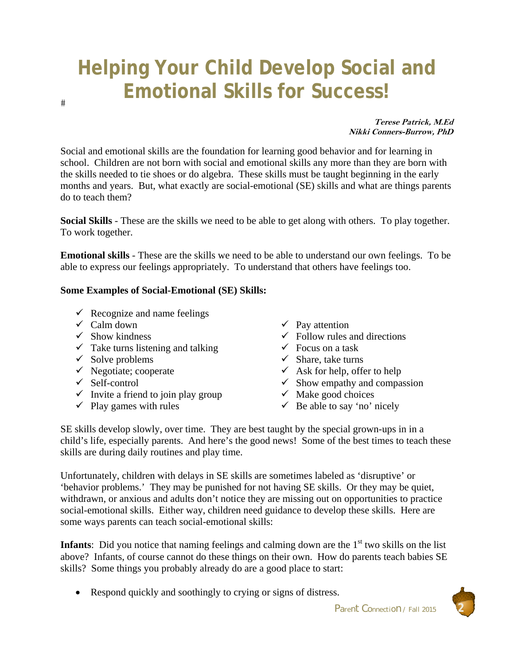# **Helping Your Child Develop Social and Emotional Skills for Success!**

**Terese Patrick, M.Ed Nikki Conners-Burrow, PhD** 

Social and emotional skills are the foundation for learning good behavior and for learning in school. Children are not born with social and emotional skills any more than they are born with the skills needed to tie shoes or do algebra. These skills must be taught beginning in the early months and years. But, what exactly are social-emotional (SE) skills and what are things parents do to teach them?

**Social Skills** - These are the skills we need to be able to get along with others. To play together. To work together.

**Emotional skills** - These are the skills we need to be able to understand our own feelings. To be able to express our feelings appropriately. To understand that others have feelings too.

#### **Some Examples of Social-Emotional (SE) Skills:**

- $\checkmark$  Recognize and name feelings
- $\checkmark$  Calm down

 $#$ 

- $\checkmark$  Show kindness
- $\checkmark$  Take turns listening and talking
- $\checkmark$  Solve problems
- $\checkmark$  Negotiate; cooperate
- $\checkmark$  Self-control
- $\checkmark$  Invite a friend to join play group
- $\checkmark$  Play games with rules
- $\checkmark$  Pay attention
- $\checkmark$  Follow rules and directions
- $\checkmark$  Focus on a task
- $\checkmark$  Share, take turns
- $\checkmark$  Ask for help, offer to help
- $\checkmark$  Show empathy and compassion
- $\checkmark$  Make good choices
- $\checkmark$  Be able to say 'no' nicely

SE skills develop slowly, over time. They are best taught by the special grown-ups in in a child's life, especially parents. And here's the good news! Some of the best times to teach these skills are during daily routines and play time.

Unfortunately, children with delays in SE skills are sometimes labeled as 'disruptive' or 'behavior problems.' They may be punished for not having SE skills. Or they may be quiet, withdrawn, or anxious and adults don't notice they are missing out on opportunities to practice social-emotional skills. Either way, children need guidance to develop these skills. Here are some ways parents can teach social-emotional skills:

**Infants**: Did you notice that naming feelings and calming down are the  $1<sup>st</sup>$  two skills on the list above? Infants, of course cannot do these things on their own. How do parents teach babies SE skills? Some things you probably already do are a good place to start:

• Respond quickly and soothingly to crying or signs of distress.

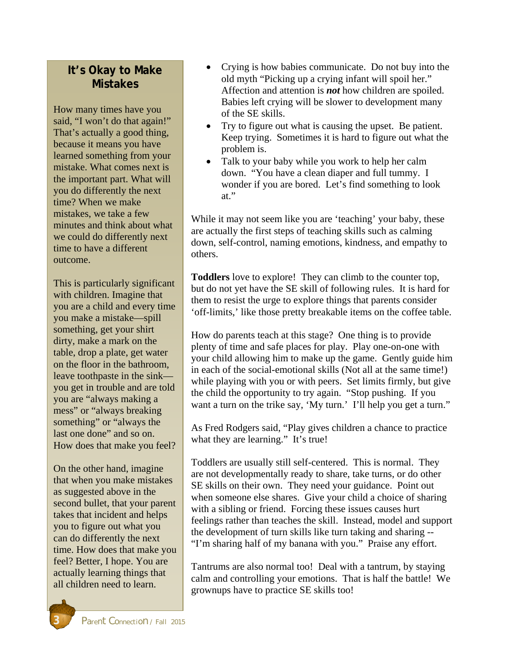#### **It's Okay to Make Mistakes**

How many times have you said, "I won't do that again!" That's actually a good thing, because it means you have learned something from your mistake. What comes next is the important part. What will you do differently the next time? When we make mistakes, we take a few minutes and think about what we could do differently next time to have a different outcome.

This is particularly significant with children. Imagine that you are a child and every time you make a mistake—spill something, get your shirt dirty, make a mark on the table, drop a plate, get water on the floor in the bathroom, leave toothpaste in the sink you get in trouble and are told you are "always making a mess" or "always breaking something" or "always the last one done" and so on. How does that make you feel?

On the other hand, imagine that when you make mistakes as suggested above in the second bullet, that your parent takes that incident and helps you to figure out what you can do differently the next time. How does that make you feel? Better, I hope. You are actually learning things that all children need to learn.

- Crying is how babies communicate. Do not buy into the old myth "Picking up a crying infant will spoil her." Affection and attention is *not* how children are spoiled. Babies left crying will be slower to development many of the SE skills.
- Try to figure out what is causing the upset. Be patient. Keep trying. Sometimes it is hard to figure out what the problem is.
- Talk to your baby while you work to help her calm down. "You have a clean diaper and full tummy. I wonder if you are bored. Let's find something to look at."

While it may not seem like you are 'teaching' your baby, these are actually the first steps of teaching skills such as calming down, self-control, naming emotions, kindness, and empathy to others.

**Toddlers** love to explore! They can climb to the counter top, but do not yet have the SE skill of following rules. It is hard for them to resist the urge to explore things that parents consider 'off-limits,' like those pretty breakable items on the coffee table.

How do parents teach at this stage? One thing is to provide plenty of time and safe places for play. Play one-on-one with your child allowing him to make up the game. Gently guide him in each of the social-emotional skills (Not all at the same time!) while playing with you or with peers. Set limits firmly, but give the child the opportunity to try again. "Stop pushing. If you want a turn on the trike say, 'My turn.' I'll help you get a turn."

As Fred Rodgers said, "Play gives children a chance to practice what they are learning." It's true!

Toddlers are usually still self-centered. This is normal. They are not developmentally ready to share, take turns, or do other SE skills on their own. They need your guidance. Point out when someone else shares. Give your child a choice of sharing with a sibling or friend. Forcing these issues causes hurt feelings rather than teaches the skill. Instead, model and support the development of turn skills like turn taking and sharing -- "I'm sharing half of my banana with you." Praise any effort.

Tantrums are also normal too! Deal with a tantrum, by staying calm and controlling your emotions. That is half the battle! We grownups have to practice SE skills too!

**3** *Parent Connection / Fall 2015*